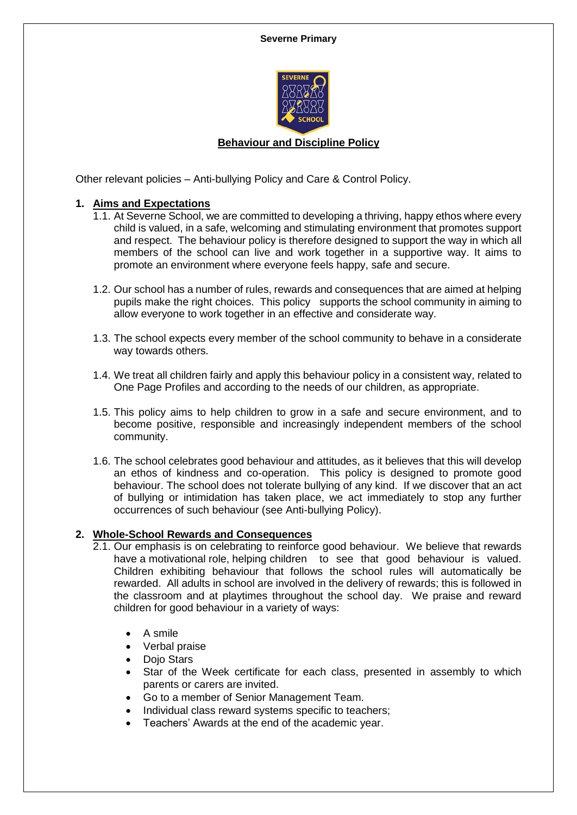

# **Behaviour and Discipline Policy**

Other relevant policies – Anti-bullying Policy and Care & Control Policy.

## **1. Aims and Expectations**

- 1.1. At Severne School, we are committed to developing a thriving, happy ethos where every child is valued, in a safe, welcoming and stimulating environment that promotes support and respect. The behaviour policy is therefore designed to support the way in which all members of the school can live and work together in a supportive way. It aims to promote an environment where everyone feels happy, safe and secure.
- 1.2. Our school has a number of rules, rewards and consequences that are aimed at helping pupils make the right choices. This policy supports the school community in aiming to allow everyone to work together in an effective and considerate way.
- 1.3. The school expects every member of the school community to behave in a considerate way towards others.
- 1.4. We treat all children fairly and apply this behaviour policy in a consistent way, related to One Page Profiles and according to the needs of our children, as appropriate.
- 1.5. This policy aims to help children to grow in a safe and secure environment, and to become positive, responsible and increasingly independent members of the school community.
- 1.6. The school celebrates good behaviour and attitudes, as it believes that this will develop an ethos of kindness and co-operation. This policy is designed to promote good behaviour. The school does not tolerate bullying of any kind. If we discover that an act of bullying or intimidation has taken place, we act immediately to stop any further occurrences of such behaviour (see Anti-bullying Policy).

#### **2. Whole-School Rewards and Consequences**

- 2.1. Our emphasis is on celebrating to reinforce good behaviour. We believe that rewards have a motivational role, helping children to see that good behaviour is valued. Children exhibiting behaviour that follows the school rules will automatically be rewarded. All adults in school are involved in the delivery of rewards; this is followed in the classroom and at playtimes throughout the school day. We praise and reward children for good behaviour in a variety of ways:
	- A smile
	- Verbal praise
	- Dojo Stars
	- Star of the Week certificate for each class, presented in assembly to which parents or carers are invited.
	- Go to a member of Senior Management Team.
	- Individual class reward systems specific to teachers;
	- Teachers' Awards at the end of the academic year.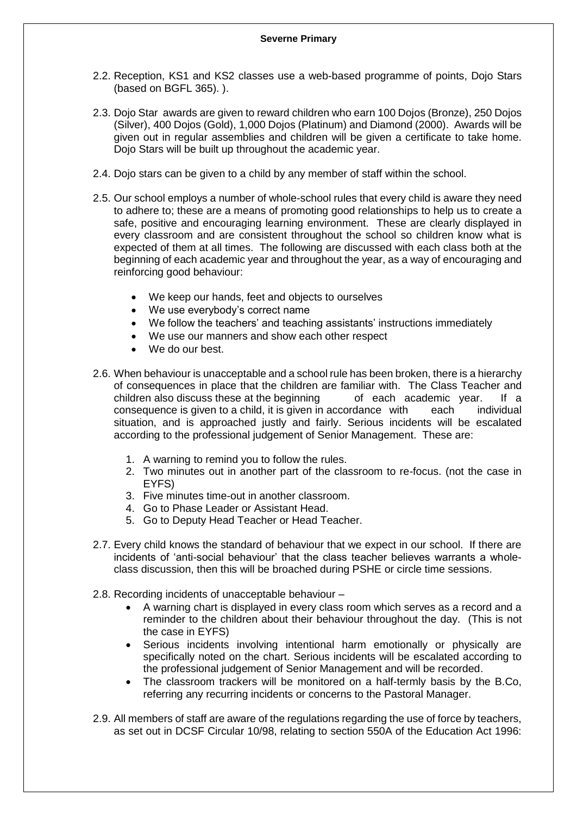- 2.2. Reception, KS1 and KS2 classes use a web-based programme of points, Dojo Stars (based on BGFL 365). ).
- 2.3. Dojo Star awards are given to reward children who earn 100 Dojos (Bronze), 250 Dojos (Silver), 400 Dojos (Gold), 1,000 Dojos (Platinum) and Diamond (2000). Awards will be given out in regular assemblies and children will be given a certificate to take home. Dojo Stars will be built up throughout the academic year.
- 2.4. Dojo stars can be given to a child by any member of staff within the school.
- 2.5. Our school employs a number of whole-school rules that every child is aware they need to adhere to; these are a means of promoting good relationships to help us to create a safe, positive and encouraging learning environment. These are clearly displayed in every classroom and are consistent throughout the school so children know what is expected of them at all times. The following are discussed with each class both at the beginning of each academic year and throughout the year, as a way of encouraging and reinforcing good behaviour:
	- We keep our hands, feet and objects to ourselves
	- We use everybody's correct name
	- We follow the teachers' and teaching assistants' instructions immediately
	- We use our manners and show each other respect
	- We do our best.
- 2.6. When behaviour is unacceptable and a school rule has been broken, there is a hierarchy of consequences in place that the children are familiar with. The Class Teacher and children also discuss these at the beginning of each academic year. If a consequence is given to a child, it is given in accordance with each individual situation, and is approached justly and fairly. Serious incidents will be escalated according to the professional judgement of Senior Management. These are:
	- 1. A warning to remind you to follow the rules.
	- 2. Two minutes out in another part of the classroom to re-focus. (not the case in EYFS)
	- 3. Five minutes time-out in another classroom.
	- 4. Go to Phase Leader or Assistant Head.
	- 5. Go to Deputy Head Teacher or Head Teacher.
- 2.7. Every child knows the standard of behaviour that we expect in our school. If there are incidents of 'anti-social behaviour' that the class teacher believes warrants a wholeclass discussion, then this will be broached during PSHE or circle time sessions.
- 2.8. Recording incidents of unacceptable behaviour
	- A warning chart is displayed in every class room which serves as a record and a reminder to the children about their behaviour throughout the day. (This is not the case in EYFS)
	- Serious incidents involving intentional harm emotionally or physically are specifically noted on the chart. Serious incidents will be escalated according to the professional judgement of Senior Management and will be recorded.
	- The classroom trackers will be monitored on a half-termly basis by the B.Co, referring any recurring incidents or concerns to the Pastoral Manager.
- 2.9. All members of staff are aware of the regulations regarding the use of force by teachers, as set out in DCSF Circular 10/98, relating to section 550A of the Education Act 1996: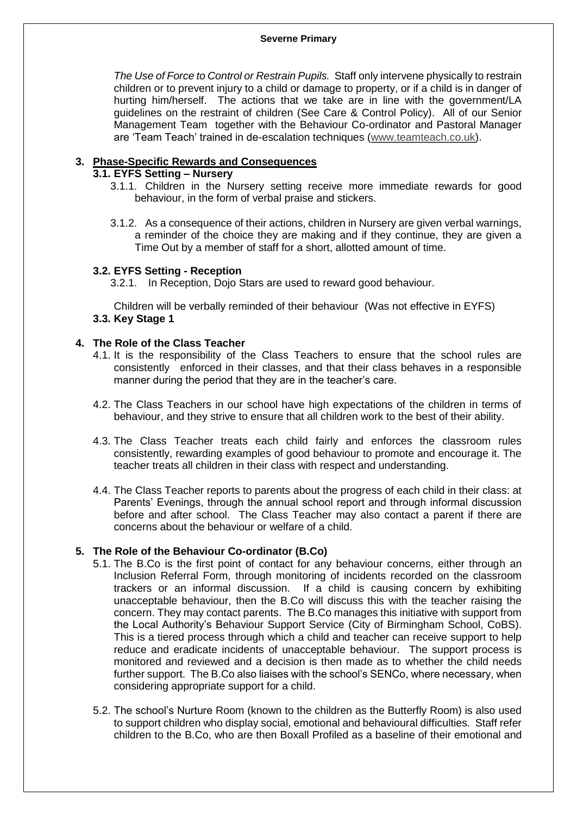### **Severne Primary**

*The Use of Force to Control or Restrain Pupils.* Staff only intervene physically to restrain children or to prevent injury to a child or damage to property, or if a child is in danger of hurting him/herself. The actions that we take are in line with the government/LA guidelines on the restraint of children (See Care & Control Policy). All of our Senior Management Team together with the Behaviour Co-ordinator and Pastoral Manager are 'Team Teach' trained in de-escalation techniques [\(www.teamteach.co.uk\)](http://www.teamteach.co.uk/).

## **3. Phase-Specific Rewards and Consequences**

## **3.1. EYFS Setting – Nursery**

- 3.1.1. Children in the Nursery setting receive more immediate rewards for good behaviour, in the form of verbal praise and stickers.
- 3.1.2. As a consequence of their actions, children in Nursery are given verbal warnings, a reminder of the choice they are making and if they continue, they are given a Time Out by a member of staff for a short, allotted amount of time.

# **3.2. EYFS Setting - Reception**

3.2.1. In Reception, Dojo Stars are used to reward good behaviour.

Children will be verbally reminded of their behaviour (Was not effective in EYFS) **3.3. Key Stage 1**

# **4. The Role of the Class Teacher**

- 4.1. It is the responsibility of the Class Teachers to ensure that the school rules are consistently enforced in their classes, and that their class behaves in a responsible manner during the period that they are in the teacher's care.
- 4.2. The Class Teachers in our school have high expectations of the children in terms of behaviour, and they strive to ensure that all children work to the best of their ability.
- 4.3. The Class Teacher treats each child fairly and enforces the classroom rules consistently, rewarding examples of good behaviour to promote and encourage it. The teacher treats all children in their class with respect and understanding.
- 4.4. The Class Teacher reports to parents about the progress of each child in their class: at Parents' Evenings, through the annual school report and through informal discussion before and after school. The Class Teacher may also contact a parent if there are concerns about the behaviour or welfare of a child.

## **5. The Role of the Behaviour Co-ordinator (B.Co)**

- 5.1. The B.Co is the first point of contact for any behaviour concerns, either through an Inclusion Referral Form, through monitoring of incidents recorded on the classroom trackers or an informal discussion. If a child is causing concern by exhibiting unacceptable behaviour, then the B.Co will discuss this with the teacher raising the concern. They may contact parents. The B.Co manages this initiative with support from the Local Authority's Behaviour Support Service (City of Birmingham School, CoBS). This is a tiered process through which a child and teacher can receive support to help reduce and eradicate incidents of unacceptable behaviour. The support process is monitored and reviewed and a decision is then made as to whether the child needs further support. The B.Co also liaises with the school's SENCo, where necessary, when considering appropriate support for a child.
- 5.2. The school's Nurture Room (known to the children as the Butterfly Room) is also used to support children who display social, emotional and behavioural difficulties. Staff refer children to the B.Co, who are then Boxall Profiled as a baseline of their emotional and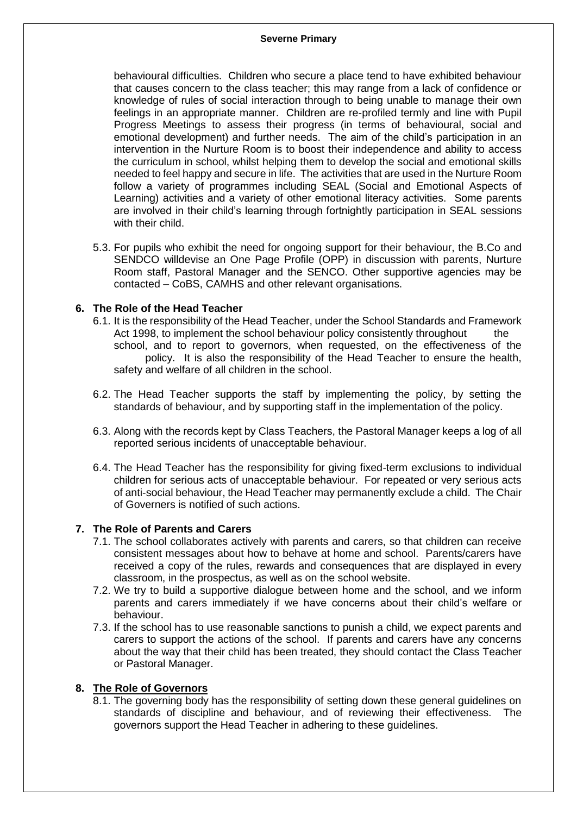### **Severne Primary**

behavioural difficulties. Children who secure a place tend to have exhibited behaviour that causes concern to the class teacher; this may range from a lack of confidence or knowledge of rules of social interaction through to being unable to manage their own feelings in an appropriate manner. Children are re-profiled termly and line with Pupil Progress Meetings to assess their progress (in terms of behavioural, social and emotional development) and further needs. The aim of the child's participation in an intervention in the Nurture Room is to boost their independence and ability to access the curriculum in school, whilst helping them to develop the social and emotional skills needed to feel happy and secure in life. The activities that are used in the Nurture Room follow a variety of programmes including SEAL (Social and Emotional Aspects of Learning) activities and a variety of other emotional literacy activities. Some parents are involved in their child's learning through fortnightly participation in SEAL sessions with their child.

5.3. For pupils who exhibit the need for ongoing support for their behaviour, the B.Co and SENDCO willdevise an One Page Profile (OPP) in discussion with parents, Nurture Room staff, Pastoral Manager and the SENCO. Other supportive agencies may be contacted – CoBS, CAMHS and other relevant organisations.

# **6. The Role of the Head Teacher**

- 6.1. It is the responsibility of the Head Teacher, under the School Standards and Framework Act 1998, to implement the school behaviour policy consistently throughout the school, and to report to governors, when requested, on the effectiveness of the policy. It is also the responsibility of the Head Teacher to ensure the health, safety and welfare of all children in the school.
- 6.2. The Head Teacher supports the staff by implementing the policy, by setting the standards of behaviour, and by supporting staff in the implementation of the policy.
- 6.3. Along with the records kept by Class Teachers, the Pastoral Manager keeps a log of all reported serious incidents of unacceptable behaviour.
- 6.4. The Head Teacher has the responsibility for giving fixed-term exclusions to individual children for serious acts of unacceptable behaviour. For repeated or very serious acts of anti-social behaviour, the Head Teacher may permanently exclude a child. The Chair of Governers is notified of such actions.

## **7. The Role of Parents and Carers**

- 7.1. The school collaborates actively with parents and carers, so that children can receive consistent messages about how to behave at home and school. Parents/carers have received a copy of the rules, rewards and consequences that are displayed in every classroom, in the prospectus, as well as on the school website.
- 7.2. We try to build a supportive dialogue between home and the school, and we inform parents and carers immediately if we have concerns about their child's welfare or behaviour.
- 7.3. If the school has to use reasonable sanctions to punish a child, we expect parents and carers to support the actions of the school. If parents and carers have any concerns about the way that their child has been treated, they should contact the Class Teacher or Pastoral Manager.

## **8. The Role of Governors**

8.1. The governing body has the responsibility of setting down these general guidelines on standards of discipline and behaviour, and of reviewing their effectiveness. The governors support the Head Teacher in adhering to these guidelines.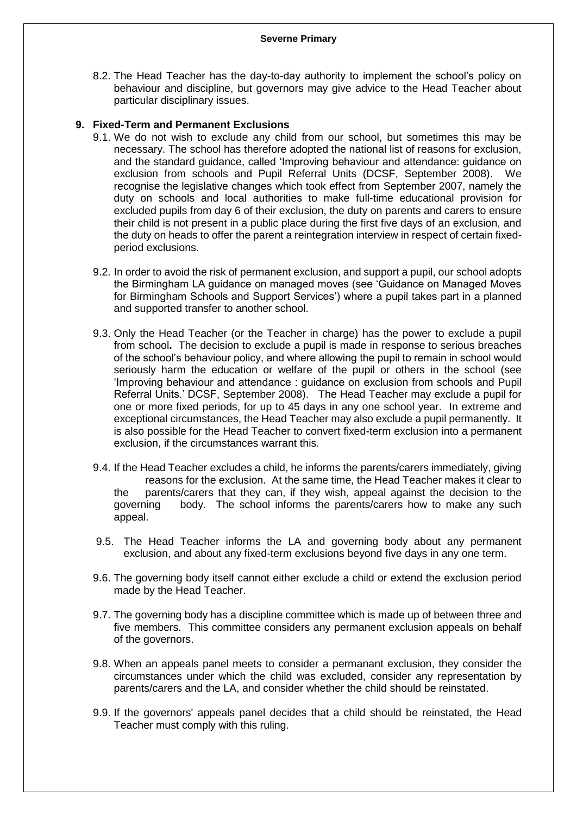8.2. The Head Teacher has the day-to-day authority to implement the school's policy on behaviour and discipline, but governors may give advice to the Head Teacher about particular disciplinary issues.

# **9. Fixed-Term and Permanent Exclusions**

- 9.1. We do not wish to exclude any child from our school, but sometimes this may be necessary. The school has therefore adopted the national list of reasons for exclusion, and the standard guidance, called 'Improving behaviour and attendance: guidance on exclusion from schools and Pupil Referral Units (DCSF, September 2008). We recognise the legislative changes which took effect from September 2007, namely the duty on schools and local authorities to make full-time educational provision for excluded pupils from day 6 of their exclusion, the duty on parents and carers to ensure their child is not present in a public place during the first five days of an exclusion, and the duty on heads to offer the parent a reintegration interview in respect of certain fixedperiod exclusions.
- 9.2. In order to avoid the risk of permanent exclusion, and support a pupil, our school adopts the Birmingham LA guidance on managed moves (see 'Guidance on Managed Moves for Birmingham Schools and Support Services') where a pupil takes part in a planned and supported transfer to another school.
- 9.3. Only the Head Teacher (or the Teacher in charge) has the power to exclude a pupil from school**.** The decision to exclude a pupil is made in response to serious breaches of the school's behaviour policy, and where allowing the pupil to remain in school would seriously harm the education or welfare of the pupil or others in the school (see 'Improving behaviour and attendance : guidance on exclusion from schools and Pupil Referral Units.' DCSF, September 2008). The Head Teacher may exclude a pupil for one or more fixed periods, for up to 45 days in any one school year. In extreme and exceptional circumstances, the Head Teacher may also exclude a pupil permanently. It is also possible for the Head Teacher to convert fixed-term exclusion into a permanent exclusion, if the circumstances warrant this.
- 9.4. If the Head Teacher excludes a child, he informs the parents/carers immediately, giving reasons for the exclusion. At the same time, the Head Teacher makes it clear to the parents/carers that they can, if they wish, appeal against the decision to the governing body. The school informs the parents/carers how to make any such appeal.
- 9.5. The Head Teacher informs the LA and governing body about any permanent exclusion, and about any fixed-term exclusions beyond five days in any one term.
- 9.6. The governing body itself cannot either exclude a child or extend the exclusion period made by the Head Teacher.
- 9.7. The governing body has a discipline committee which is made up of between three and five members. This committee considers any permanent exclusion appeals on behalf of the governors.
- 9.8. When an appeals panel meets to consider a permanant exclusion, they consider the circumstances under which the child was excluded, consider any representation by parents/carers and the LA, and consider whether the child should be reinstated.
- 9.9. If the governors' appeals panel decides that a child should be reinstated, the Head Teacher must comply with this ruling.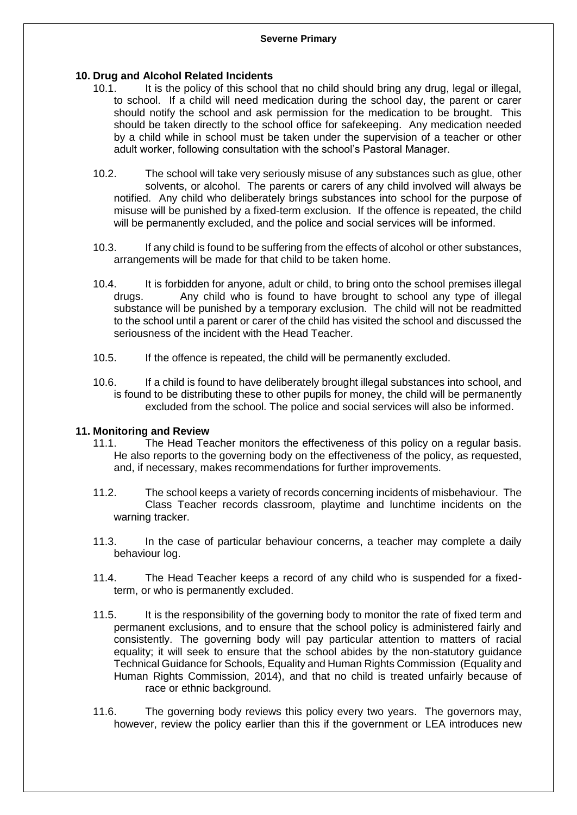## **10. Drug and Alcohol Related Incidents**

- 10.1. It is the policy of this school that no child should bring any drug, legal or illegal, to school. If a child will need medication during the school day, the parent or carer should notify the school and ask permission for the medication to be brought. This should be taken directly to the school office for safekeeping. Any medication needed by a child while in school must be taken under the supervision of a teacher or other adult worker, following consultation with the school's Pastoral Manager.
- 10.2. The school will take very seriously misuse of any substances such as glue, other solvents, or alcohol. The parents or carers of any child involved will always be notified. Any child who deliberately brings substances into school for the purpose of misuse will be punished by a fixed-term exclusion. If the offence is repeated, the child will be permanently excluded, and the police and social services will be informed.
- 10.3. If any child is found to be suffering from the effects of alcohol or other substances, arrangements will be made for that child to be taken home.
- 10.4. It is forbidden for anyone, adult or child, to bring onto the school premises illegal drugs. Any child who is found to have brought to school any type of illegal substance will be punished by a temporary exclusion. The child will not be readmitted to the school until a parent or carer of the child has visited the school and discussed the seriousness of the incident with the Head Teacher.
- 10.5. If the offence is repeated, the child will be permanently excluded.
- 10.6. If a child is found to have deliberately brought illegal substances into school, and is found to be distributing these to other pupils for money, the child will be permanently excluded from the school. The police and social services will also be informed.

#### **11. Monitoring and Review**

- 11.1. The Head Teacher monitors the effectiveness of this policy on a regular basis. He also reports to the governing body on the effectiveness of the policy, as requested, and, if necessary, makes recommendations for further improvements.
- 11.2. The school keeps a variety of records concerning incidents of misbehaviour. The Class Teacher records classroom, playtime and lunchtime incidents on the warning tracker.
- 11.3. In the case of particular behaviour concerns, a teacher may complete a daily behaviour log.
- 11.4. The Head Teacher keeps a record of any child who is suspended for a fixedterm, or who is permanently excluded.
- 11.5. It is the responsibility of the governing body to monitor the rate of fixed term and permanent exclusions, and to ensure that the school policy is administered fairly and consistently. The governing body will pay particular attention to matters of racial equality; it will seek to ensure that the school abides by the non-statutory guidance Technical Guidance for Schools, Equality and Human Rights Commission (Equality and Human Rights Commission, 2014), and that no child is treated unfairly because of race or ethnic background.
- 11.6. The governing body reviews this policy every two years. The governors may, however, review the policy earlier than this if the government or LEA introduces new